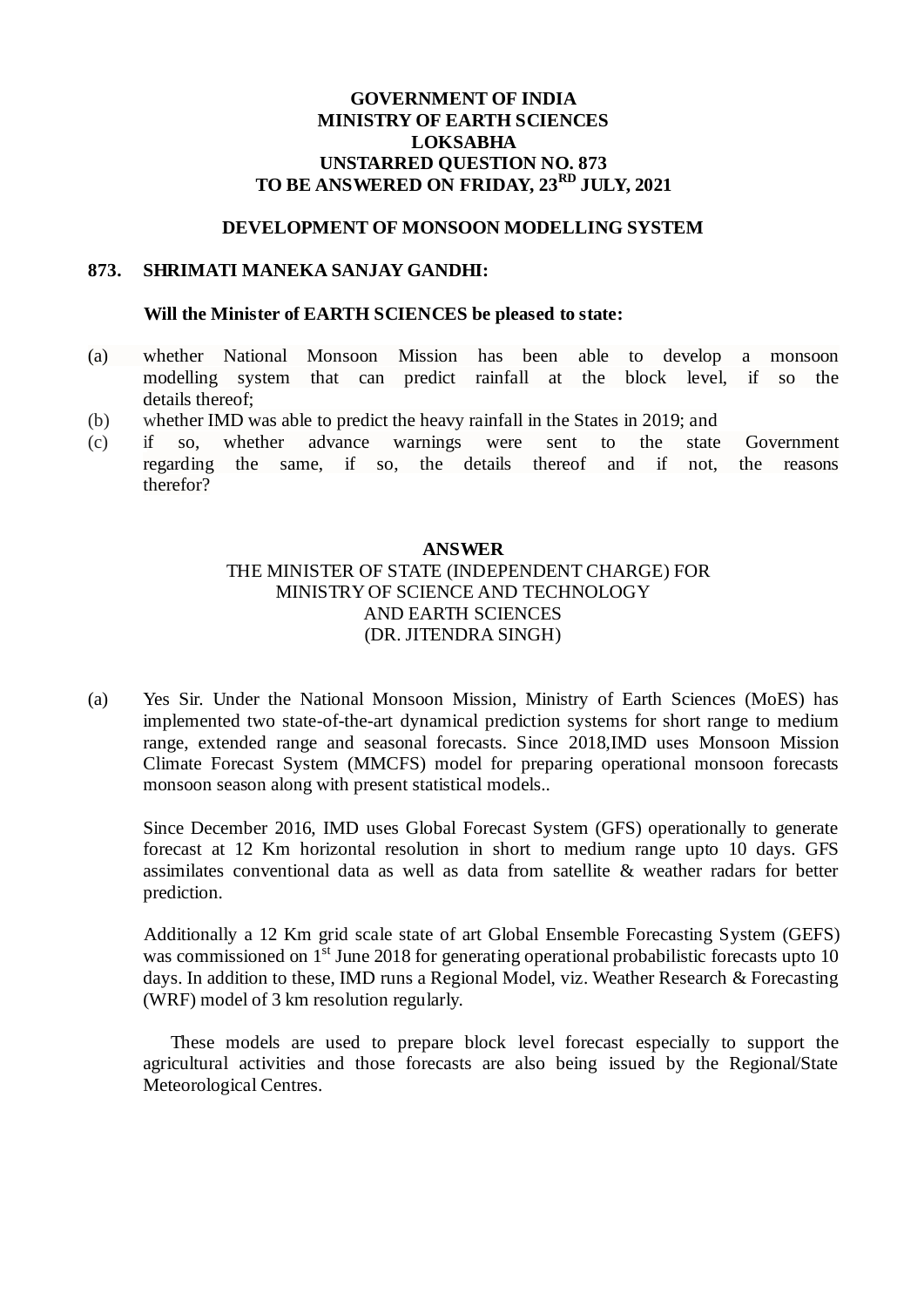## **GOVERNMENT OF INDIA MINISTRY OF EARTH SCIENCES LOKSABHA UNSTARRED QUESTION NO. 873 TO BE ANSWERED ON FRIDAY, 23RD JULY, 2021**

#### **DEVELOPMENT OF MONSOON MODELLING SYSTEM**

### **873. SHRIMATI MANEKA SANJAY GANDHI:**

#### **Will the Minister of EARTH SCIENCES be pleased to state:**

- (a) whether National Monsoon Mission has been able to develop a monsoon modelling system that can predict rainfall at the block level, if so the details thereof;
- (b) whether IMD was able to predict the heavy rainfall in the States in 2019; and
- (c) if so, whether advance warnings were sent to the state Government regarding the same, if so, the details thereof and if not, the reasons therefor?

## **ANSWER**

# THE MINISTER OF STATE (INDEPENDENT CHARGE) FOR MINISTRY OF SCIENCE AND TECHNOLOGY AND EARTH SCIENCES (DR. JITENDRA SINGH)

(a) Yes Sir. Under the National Monsoon Mission, Ministry of Earth Sciences (MoES) has implemented two state-of-the-art dynamical prediction systems for short range to medium range, extended range and seasonal forecasts. Since 2018,IMD uses Monsoon Mission Climate Forecast System (MMCFS) model for preparing operational monsoon forecasts monsoon season along with present statistical models..

Since December 2016, IMD uses Global Forecast System (GFS) operationally to generate forecast at 12 Km horizontal resolution in short to medium range upto 10 days. GFS assimilates conventional data as well as data from satellite & weather radars for better prediction.

Additionally a 12 Km grid scale state of art Global Ensemble Forecasting System (GEFS) was commissioned on 1<sup>st</sup> June 2018 for generating operational probabilistic forecasts upto 10 days. In addition to these, IMD runs a Regional Model, viz. Weather Research & Forecasting (WRF) model of 3 km resolution regularly.

 These models are used to prepare block level forecast especially to support the agricultural activities and those forecasts are also being issued by the Regional/State Meteorological Centres.